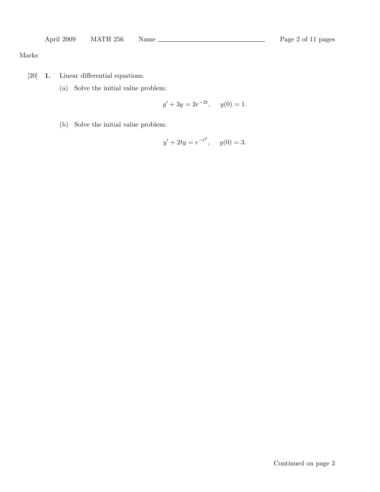## Marks

- [20] 1. Linear differential equations.
	- (a) Solve the initial value problem:

$$
y' + 3y = 2e^{-2t}, \quad y(0) = 1.
$$

(b) Solve the initial value problem:

$$
y' + 2ty = e^{-t^2}, \quad y(0) = 3.
$$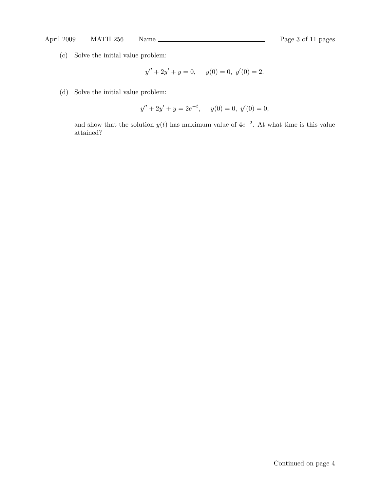# April 2009 MATH 256 Name Rage 3 of 11 pages

(c) Solve the initial value problem:

$$
y'' + 2y' + y = 0, \quad y(0) = 0, \ y'(0) = 2.
$$

(d) Solve the initial value problem:

$$
y'' + 2y' + y = 2e^{-t}, \quad y(0) = 0, \ y'(0) = 0,
$$

and show that the solution  $y(t)$  has maximum value of  $4e^{-2}$ . At what time is this value attained?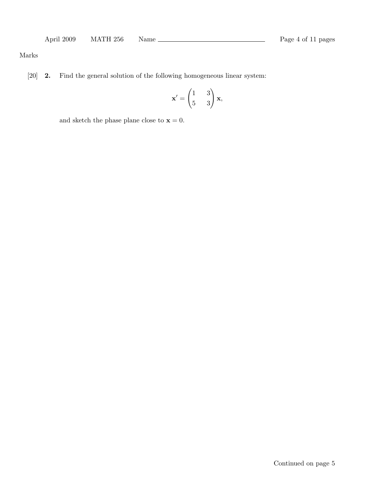## Marks

[20] 2. Find the general solution of the following homogeneous linear system:

$$
\mathbf{x}' = \begin{pmatrix} 1 & 3 \\ 5 & 3 \end{pmatrix} \mathbf{x},
$$

and sketch the phase plane close to  $\mathbf{x} = 0$ .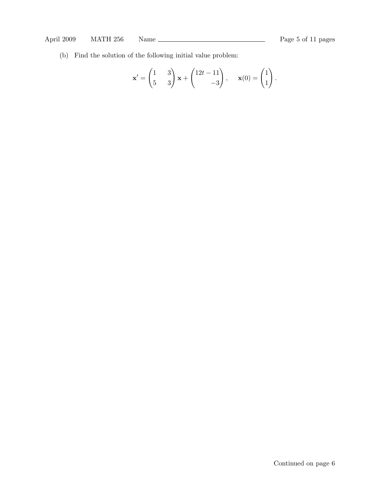(b) Find the solution of the following initial value problem:

$$
\mathbf{x}' = \begin{pmatrix} 1 & 3 \\ 5 & 3 \end{pmatrix} \mathbf{x} + \begin{pmatrix} 12t - 11 \\ -3 \end{pmatrix}, \quad \mathbf{x}(0) = \begin{pmatrix} 1 \\ 1 \end{pmatrix}.
$$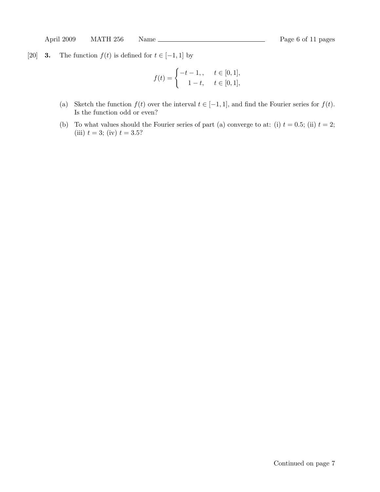[20] **3.** The function  $f(t)$  is defined for  $t \in [-1, 1]$  by

$$
f(t) = \begin{cases} -t - 1, & t \in [0, 1], \\ 1 - t, & t \in [0, 1], \end{cases}
$$

- (a) Sketch the function  $f(t)$  over the interval  $t \in [-1,1]$ , and find the Fourier series for  $f(t)$ . Is the function odd or even?
- (b) To what values should the Fourier series of part (a) converge to at: (i)  $t = 0.5$ ; (ii)  $t = 2$ ; (iii)  $t = 3$ ; (iv)  $t = 3.5$ ?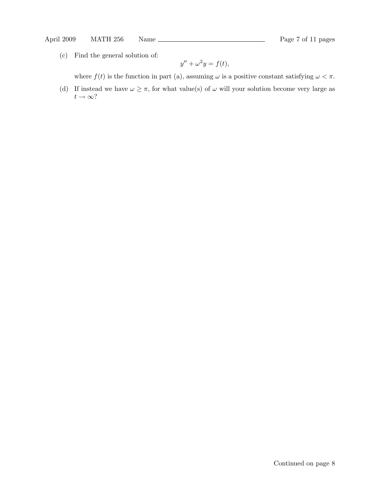(c) Find the general solution of:

$$
y'' + \omega^2 y = f(t),
$$

where  $f(t)$  is the function in part (a), assuming  $\omega$  is a positive constant satisfying  $\omega < \pi$ .

(d) If instead we have  $\omega \geq \pi$ , for what value(s) of  $\omega$  will your solution become very large as  $t\to\infty?$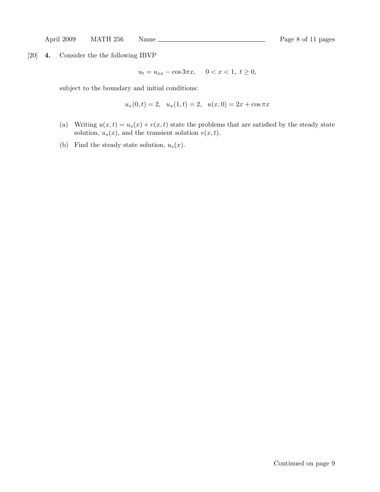[20] 4. Consider the the following IBVP

$$
u_t = u_{xx} - \cos 3\pi x, \quad 0 < x < 1, \ t \ge 0,
$$

subject to the boundary and initial conditions:

$$
u_x(0,t) = 2, u_x(1,t) = 2, u(x,0) = 2x + \cos \pi x
$$

- (a) Writing  $u(x, t) = u_s(x) + v(x, t)$  state the problems that are satisfied by the steady state solution,  $u_s(x)$ , and the transient solution  $v(x, t)$ .
- (b) Find the steady state solution,  $u_s(x)$ .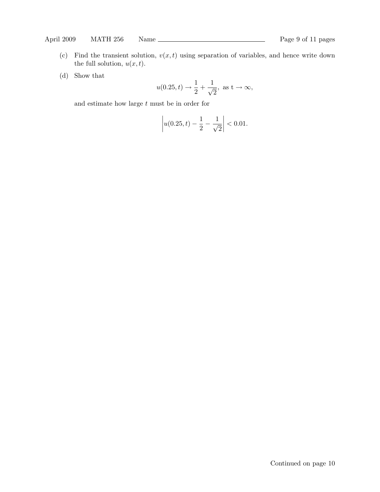- (c) Find the transient solution,  $v(x, t)$  using separation of variables, and hence write down the full solution,  $u(x, t)$ .
- (d) Show that

$$
u(0.25, t) \to \frac{1}{2} + \frac{1}{\sqrt{2}}, \text{ as } t \to \infty,
$$

and estimate how large  $t$  must be in order for

$$
\left| u(0.25, t) - \frac{1}{2} - \frac{1}{\sqrt{2}} \right| < 0.01.
$$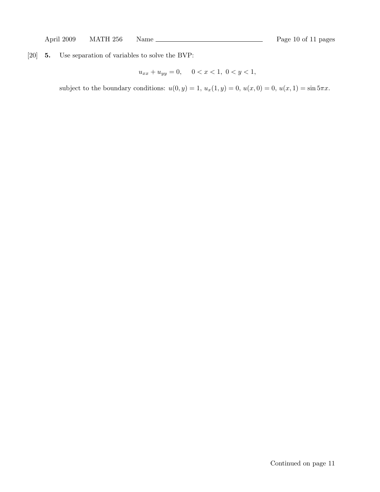[20] 5. Use separation of variables to solve the BVP:

$$
u_{xx} + u_{yy} = 0, \quad 0 < x < 1, \ 0 < y < 1,
$$

subject to the boundary conditions:  $u(0, y) = 1$ ,  $u_x(1, y) = 0$ ,  $u(x, 0) = 0$ ,  $u(x, 1) = \sin 5\pi x$ .